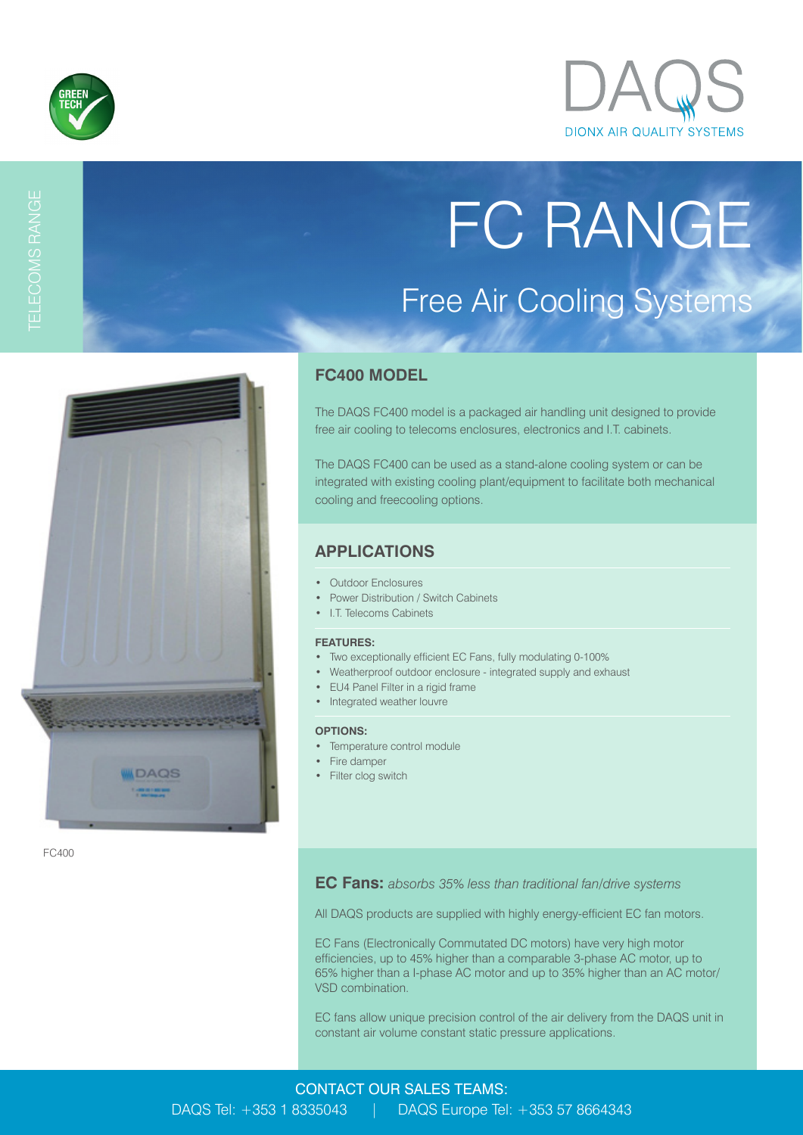

TELECOMS RANGE



# FC RANGE Free Air Cooling Systems



FC400

## **FC400 MODEL**

The DAQS FC400 model is a packaged air handling unit designed to provide free air cooling to telecoms enclosures, electronics and I.T. cabinets.

The DAQS FC400 can be used as a stand-alone cooling system or can be integrated with existing cooling plant/equipment to facilitate both mechanical cooling and freecooling options.

## **APPLICATIONS**

- Outdoor Enclosures
- Power Distribution / Switch Cabinets
- I.T. Telecoms Cabinets

#### **FEATURES:**

- Two exceptionally efficient EC Fans, fully modulating 0-100%
- Weatherproof outdoor enclosure integrated supply and exhaust
- EU4 Panel Filter in a rigid frame
- Integrated weather louvre

#### **OPTIONS:**

- Temperature control module
- Fire damper
- Filter clog switch

**EC Fans:** *absorbs 35% less than traditional fan/drive systems*

All DAQS products are supplied with highly energy-efficient EC fan motors.

EC Fans (Electronically Commutated DC motors) have very high motor efficiencies, up to 45% higher than a comparable 3-phase AC motor, up to 65% higher than a I-phase AC motor and up to 35% higher than an AC motor/ VSD combination.

EC fans allow unique precision control of the air delivery from the DAQS unit in constant air volume constant static pressure applications.